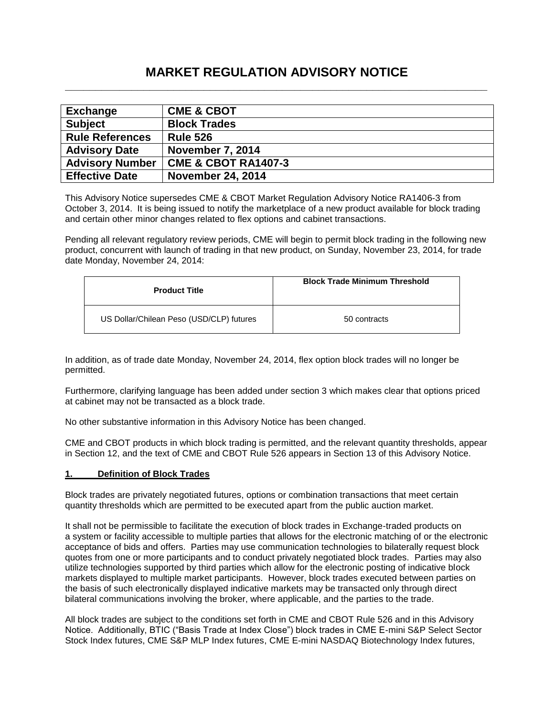# **MARKET REGULATION ADVISORY NOTICE \_\_\_\_\_\_\_\_\_\_\_\_\_\_\_\_\_\_\_\_\_\_\_\_\_\_\_\_\_\_\_\_\_\_\_\_\_\_\_\_\_\_\_\_\_\_\_\_\_\_\_\_\_\_\_\_\_\_\_\_\_\_\_\_\_\_\_\_\_\_**

| <b>Exchange</b>        | <b>CME &amp; CBOT</b>          |
|------------------------|--------------------------------|
| <b>Subject</b>         | <b>Block Trades</b>            |
| <b>Rule References</b> | <b>Rule 526</b>                |
| <b>Advisory Date</b>   | <b>November 7, 2014</b>        |
| <b>Advisory Number</b> | <b>CME &amp; CBOT RA1407-3</b> |
| <b>Effective Date</b>  | <b>November 24, 2014</b>       |

This Advisory Notice supersedes CME & CBOT Market Regulation Advisory Notice RA1406-3 from October 3, 2014. It is being issued to notify the marketplace of a new product available for block trading and certain other minor changes related to flex options and cabinet transactions.

Pending all relevant regulatory review periods, CME will begin to permit block trading in the following new product, concurrent with launch of trading in that new product, on Sunday, November 23, 2014, for trade date Monday, November 24, 2014:

| <b>Product Title</b>                     | <b>Block Trade Minimum Threshold</b> |  |
|------------------------------------------|--------------------------------------|--|
| US Dollar/Chilean Peso (USD/CLP) futures | 50 contracts                         |  |

In addition, as of trade date Monday, November 24, 2014, flex option block trades will no longer be permitted.

Furthermore, clarifying language has been added under section 3 which makes clear that options priced at cabinet may not be transacted as a block trade.

No other substantive information in this Advisory Notice has been changed.

CME and CBOT products in which block trading is permitted, and the relevant quantity thresholds, appear in Section 12, and the text of CME and CBOT Rule 526 appears in Section 13 of this Advisory Notice.

#### **1. Definition of Block Trades**

Block trades are privately negotiated futures, options or combination transactions that meet certain quantity thresholds which are permitted to be executed apart from the public auction market.

It shall not be permissible to facilitate the execution of block trades in Exchange-traded products on a system or facility accessible to multiple parties that allows for the electronic matching of or the electronic acceptance of bids and offers. Parties may use communication technologies to bilaterally request block quotes from one or more participants and to conduct privately negotiated block trades. Parties may also utilize technologies supported by third parties which allow for the electronic posting of indicative block markets displayed to multiple market participants. However, block trades executed between parties on the basis of such electronically displayed indicative markets may be transacted only through direct bilateral communications involving the broker, where applicable, and the parties to the trade.

All block trades are subject to the conditions set forth in CME and CBOT Rule 526 and in this Advisory Notice. Additionally, BTIC ("Basis Trade at Index Close") block trades in CME E-mini S&P Select Sector Stock Index futures, CME S&P MLP Index futures, CME E-mini NASDAQ Biotechnology Index futures,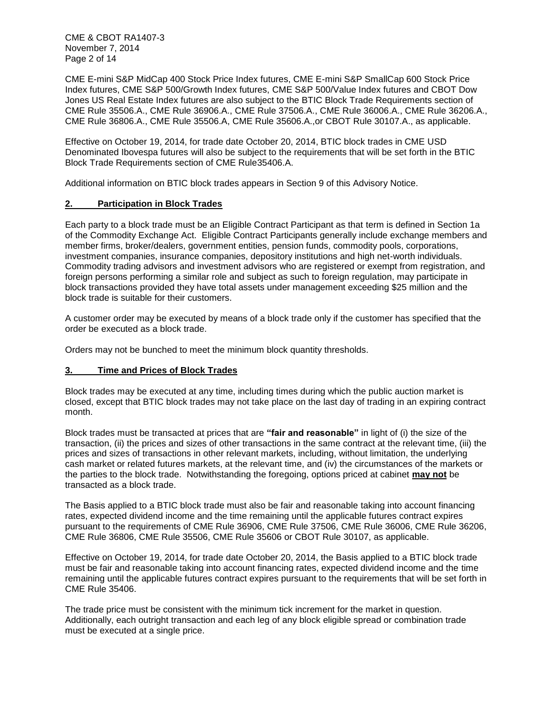CME & CBOT RA1407-3 November 7, 2014 Page 2 of 14

CME E-mini S&P MidCap 400 Stock Price Index futures, CME E-mini S&P SmallCap 600 Stock Price Index futures, CME S&P 500/Growth Index futures, CME S&P 500/Value Index futures and CBOT Dow Jones US Real Estate Index futures are also subject to the BTIC Block Trade Requirements section of CME Rule 35506.A., CME Rule 36906.A., CME Rule 37506.A., CME Rule 36006.A., CME Rule 36206.A., CME Rule 36806.A., CME Rule 35506.A, CME Rule 35606.A.,or CBOT Rule 30107.A., as applicable.

Effective on October 19, 2014, for trade date October 20, 2014, BTIC block trades in CME USD Denominated Ibovespa futures will also be subject to the requirements that will be set forth in the BTIC Block Trade Requirements section of CME Rule35406.A.

Additional information on BTIC block trades appears in Section 9 of this Advisory Notice.

### **2. Participation in Block Trades**

Each party to a block trade must be an Eligible Contract Participant as that term is defined in Section 1a of the Commodity Exchange Act. Eligible Contract Participants generally include exchange members and member firms, broker/dealers, government entities, pension funds, commodity pools, corporations, investment companies, insurance companies, depository institutions and high net-worth individuals. Commodity trading advisors and investment advisors who are registered or exempt from registration, and foreign persons performing a similar role and subject as such to foreign regulation, may participate in block transactions provided they have total assets under management exceeding \$25 million and the block trade is suitable for their customers.

A customer order may be executed by means of a block trade only if the customer has specified that the order be executed as a block trade.

Orders may not be bunched to meet the minimum block quantity thresholds.

### **3. Time and Prices of Block Trades**

Block trades may be executed at any time, including times during which the public auction market is closed, except that BTIC block trades may not take place on the last day of trading in an expiring contract month.

Block trades must be transacted at prices that are **"fair and reasonable"** in light of (i) the size of the transaction, (ii) the prices and sizes of other transactions in the same contract at the relevant time, (iii) the prices and sizes of transactions in other relevant markets, including, without limitation, the underlying cash market or related futures markets, at the relevant time, and (iv) the circumstances of the markets or the parties to the block trade. Notwithstanding the foregoing, options priced at cabinet **may not** be transacted as a block trade.

The Basis applied to a BTIC block trade must also be fair and reasonable taking into account financing rates, expected dividend income and the time remaining until the applicable futures contract expires pursuant to the requirements of CME Rule 36906, CME Rule 37506, CME Rule 36006, CME Rule 36206, CME Rule 36806, CME Rule 35506, CME Rule 35606 or CBOT Rule 30107, as applicable.

Effective on October 19, 2014, for trade date October 20, 2014, the Basis applied to a BTIC block trade must be fair and reasonable taking into account financing rates, expected dividend income and the time remaining until the applicable futures contract expires pursuant to the requirements that will be set forth in CME Rule 35406.

The trade price must be consistent with the minimum tick increment for the market in question. Additionally, each outright transaction and each leg of any block eligible spread or combination trade must be executed at a single price.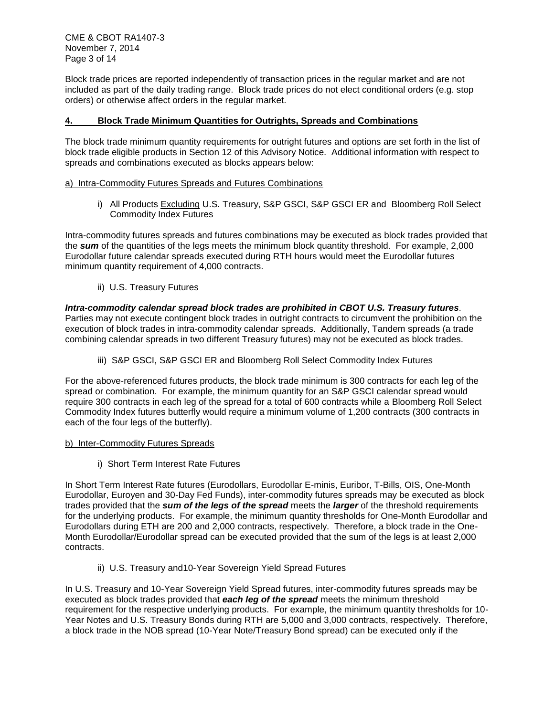Block trade prices are reported independently of transaction prices in the regular market and are not included as part of the daily trading range. Block trade prices do not elect conditional orders (e.g. stop orders) or otherwise affect orders in the regular market.

### **4. Block Trade Minimum Quantities for Outrights, Spreads and Combinations**

The block trade minimum quantity requirements for outright futures and options are set forth in the list of block trade eligible products in Section 12 of this Advisory Notice. Additional information with respect to spreads and combinations executed as blocks appears below:

### a) Intra-Commodity Futures Spreads and Futures Combinations

i) All Products Excluding U.S. Treasury, S&P GSCI, S&P GSCI ER and Bloomberg Roll Select Commodity Index Futures

Intra-commodity futures spreads and futures combinations may be executed as block trades provided that the *sum* of the quantities of the legs meets the minimum block quantity threshold. For example, 2,000 Eurodollar future calendar spreads executed during RTH hours would meet the Eurodollar futures minimum quantity requirement of 4,000 contracts.

ii) U.S. Treasury Futures

## *Intra-commodity calendar spread block trades are prohibited in CBOT U.S. Treasury futures.*

Parties may not execute contingent block trades in outright contracts to circumvent the prohibition on the execution of block trades in intra-commodity calendar spreads. Additionally, Tandem spreads (a trade combining calendar spreads in two different Treasury futures) may not be executed as block trades.

iii) S&P GSCI, S&P GSCI ER and Bloomberg Roll Select Commodity Index Futures

For the above-referenced futures products, the block trade minimum is 300 contracts for each leg of the spread or combination. For example, the minimum quantity for an S&P GSCI calendar spread would require 300 contracts in each leg of the spread for a total of 600 contracts while a Bloomberg Roll Select Commodity Index futures butterfly would require a minimum volume of 1,200 contracts (300 contracts in each of the four legs of the butterfly).

### b) Inter-Commodity Futures Spreads

i) Short Term Interest Rate Futures

In Short Term Interest Rate futures (Eurodollars, Eurodollar E-minis, Euribor, T-Bills, OIS, One-Month Eurodollar, Euroyen and 30-Day Fed Funds), inter-commodity futures spreads may be executed as block trades provided that the *sum of the legs of the spread* meets the *larger* of the threshold requirements for the underlying products. For example, the minimum quantity thresholds for One-Month Eurodollar and Eurodollars during ETH are 200 and 2,000 contracts, respectively. Therefore, a block trade in the One-Month Eurodollar/Eurodollar spread can be executed provided that the sum of the legs is at least 2,000 contracts.

ii) U.S. Treasury and10-Year Sovereign Yield Spread Futures

In U.S. Treasury and 10-Year Sovereign Yield Spread futures, inter-commodity futures spreads may be executed as block trades provided that *each leg of the spread* meets the minimum threshold requirement for the respective underlying products. For example, the minimum quantity thresholds for 10- Year Notes and U.S. Treasury Bonds during RTH are 5,000 and 3,000 contracts, respectively. Therefore, a block trade in the NOB spread (10-Year Note/Treasury Bond spread) can be executed only if the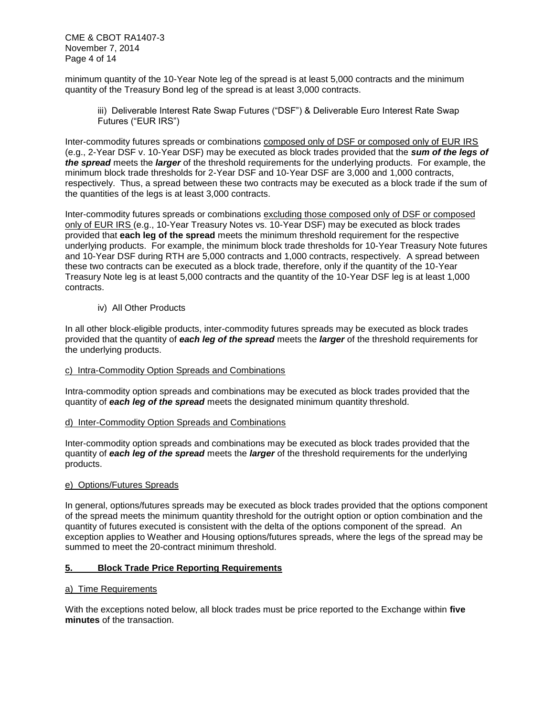CME & CBOT RA1407-3 November 7, 2014 Page 4 of 14

minimum quantity of the 10-Year Note leg of the spread is at least 5,000 contracts and the minimum quantity of the Treasury Bond leg of the spread is at least 3,000 contracts.

iii) Deliverable Interest Rate Swap Futures ("DSF") & Deliverable Euro Interest Rate Swap Futures ("EUR IRS")

Inter-commodity futures spreads or combinations composed only of DSF or composed only of EUR IRS (e.g., 2-Year DSF v. 10-Year DSF) may be executed as block trades provided that the *sum of the legs of the spread* meets the *larger* of the threshold requirements for the underlying products. For example, the minimum block trade thresholds for 2-Year DSF and 10-Year DSF are 3,000 and 1,000 contracts, respectively. Thus, a spread between these two contracts may be executed as a block trade if the sum of the quantities of the legs is at least 3,000 contracts.

Inter-commodity futures spreads or combinations excluding those composed only of DSF or composed only of EUR IRS (e.g., 10-Year Treasury Notes vs. 10-Year DSF) may be executed as block trades provided that **each leg of the spread** meets the minimum threshold requirement for the respective underlying products. For example, the minimum block trade thresholds for 10-Year Treasury Note futures and 10-Year DSF during RTH are 5,000 contracts and 1,000 contracts, respectively. A spread between these two contracts can be executed as a block trade, therefore, only if the quantity of the 10-Year Treasury Note leg is at least 5,000 contracts and the quantity of the 10-Year DSF leg is at least 1,000 contracts.

### iv) All Other Products

In all other block-eligible products, inter-commodity futures spreads may be executed as block trades provided that the quantity of *each leg of the spread* meets the *larger* of the threshold requirements for the underlying products.

#### c) Intra-Commodity Option Spreads and Combinations

Intra-commodity option spreads and combinations may be executed as block trades provided that the quantity of *each leg of the spread* meets the designated minimum quantity threshold.

#### d) Inter-Commodity Option Spreads and Combinations

Inter-commodity option spreads and combinations may be executed as block trades provided that the quantity of *each leg of the spread* meets the *larger* of the threshold requirements for the underlying products.

#### e) Options/Futures Spreads

In general, options/futures spreads may be executed as block trades provided that the options component of the spread meets the minimum quantity threshold for the outright option or option combination and the quantity of futures executed is consistent with the delta of the options component of the spread. An exception applies to Weather and Housing options/futures spreads, where the legs of the spread may be summed to meet the 20-contract minimum threshold.

#### **5. Block Trade Price Reporting Requirements**

### a) Time Requirements

With the exceptions noted below, all block trades must be price reported to the Exchange within **five minutes** of the transaction.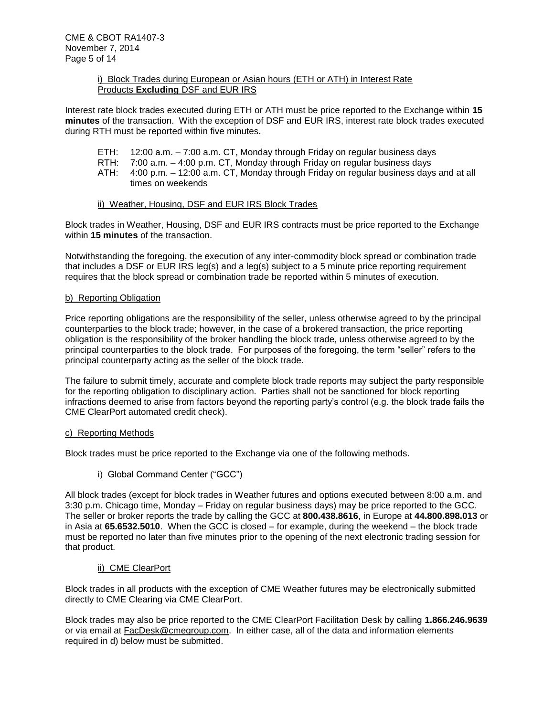### i) Block Trades during European or Asian hours (ETH or ATH) in Interest Rate Products **Excluding** DSF and EUR IRS

Interest rate block trades executed during ETH or ATH must be price reported to the Exchange within **15 minutes** of the transaction. With the exception of DSF and EUR IRS, interest rate block trades executed during RTH must be reported within five minutes.

- ETH: 12:00 a.m. 7:00 a.m. CT, Monday through Friday on regular business days
- RTH: 7:00 a.m. 4:00 p.m. CT, Monday through Friday on regular business days
- ATH: 4:00 p.m. 12:00 a.m. CT, Monday through Friday on regular business days and at all times on weekends

#### ii) Weather, Housing, DSF and EUR IRS Block Trades

Block trades in Weather, Housing, DSF and EUR IRS contracts must be price reported to the Exchange within **15 minutes** of the transaction.

Notwithstanding the foregoing, the execution of any inter-commodity block spread or combination trade that includes a DSF or EUR IRS leg(s) and a leg(s) subject to a 5 minute price reporting requirement requires that the block spread or combination trade be reported within 5 minutes of execution.

#### b) Reporting Obligation

Price reporting obligations are the responsibility of the seller, unless otherwise agreed to by the principal counterparties to the block trade; however, in the case of a brokered transaction, the price reporting obligation is the responsibility of the broker handling the block trade, unless otherwise agreed to by the principal counterparties to the block trade. For purposes of the foregoing, the term "seller" refers to the principal counterparty acting as the seller of the block trade.

The failure to submit timely, accurate and complete block trade reports may subject the party responsible for the reporting obligation to disciplinary action. Parties shall not be sanctioned for block reporting infractions deemed to arise from factors beyond the reporting party's control (e.g. the block trade fails the CME ClearPort automated credit check).

#### c) Reporting Methods

Block trades must be price reported to the Exchange via one of the following methods.

### i) Global Command Center ("GCC")

All block trades (except for block trades in Weather futures and options executed between 8:00 a.m. and 3:30 p.m. Chicago time, Monday – Friday on regular business days) may be price reported to the GCC. The seller or broker reports the trade by calling the GCC at **800.438.8616**, in Europe at **44.800.898.013** or in Asia at **65.6532.5010**. When the GCC is closed – for example, during the weekend – the block trade must be reported no later than five minutes prior to the opening of the next electronic trading session for that product.

#### ii) CME ClearPort

Block trades in all products with the exception of CME Weather futures may be electronically submitted directly to CME Clearing via CME ClearPort.

Block trades may also be price reported to the CME ClearPort Facilitation Desk by calling **1.866.246.9639** or via email at [FacDesk@cmegroup.com.](mailto:FacDesk@cmegroup.com) In either case, all of the data and information elements required in d) below must be submitted.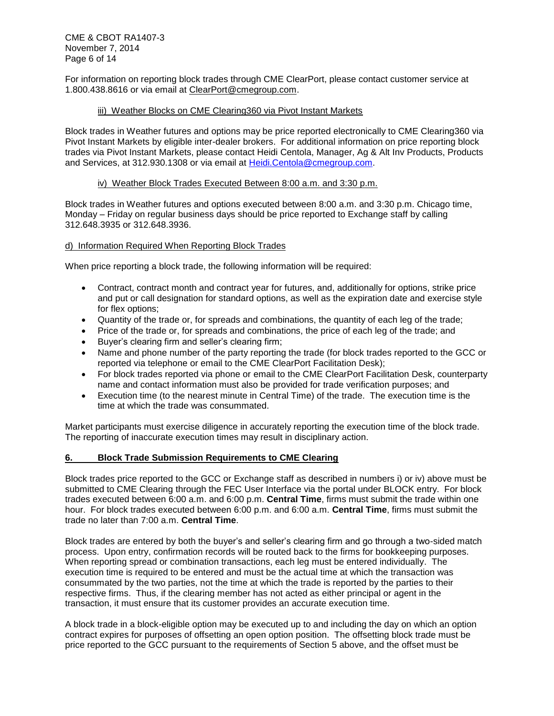CME & CBOT RA1407-3 November 7, 2014 Page 6 of 14

For information on reporting block trades through CME ClearPort, please contact customer service at 1.800.438.8616 or via email at [ClearPort@cmegroup.com.](mailto:ClearPort@cmegroup.com)

### iii) Weather Blocks on CME Clearing360 via Pivot Instant Markets

Block trades in Weather futures and options may be price reported electronically to CME Clearing360 via Pivot Instant Markets by eligible inter-dealer brokers. For additional information on price reporting block trades via Pivot Instant Markets, please contact Heidi Centola, Manager, Ag & Alt Inv Products, Products and Services, at 312.930.1308 or via email at [Heidi.Centola@cmegroup.com.](mailto:Heidi.Centola@cmegroup.com)

### iv) Weather Block Trades Executed Between 8:00 a.m. and 3:30 p.m.

Block trades in Weather futures and options executed between 8:00 a.m. and 3:30 p.m. Chicago time, Monday – Friday on regular business days should be price reported to Exchange staff by calling 312.648.3935 or 312.648.3936.

### d) Information Required When Reporting Block Trades

When price reporting a block trade, the following information will be required:

- Contract, contract month and contract year for futures, and, additionally for options, strike price and put or call designation for standard options, as well as the expiration date and exercise style for flex options;
- Quantity of the trade or, for spreads and combinations, the quantity of each leg of the trade;
- Price of the trade or, for spreads and combinations, the price of each leg of the trade; and
- Buyer's clearing firm and seller's clearing firm;
- Name and phone number of the party reporting the trade (for block trades reported to the GCC or reported via telephone or email to the CME ClearPort Facilitation Desk);
- For block trades reported via phone or email to the CME ClearPort Facilitation Desk, counterparty name and contact information must also be provided for trade verification purposes; and
- Execution time (to the nearest minute in Central Time) of the trade. The execution time is the time at which the trade was consummated.

Market participants must exercise diligence in accurately reporting the execution time of the block trade. The reporting of inaccurate execution times may result in disciplinary action.

#### **6. Block Trade Submission Requirements to CME Clearing**

Block trades price reported to the GCC or Exchange staff as described in numbers i) or iv) above must be submitted to CME Clearing through the FEC User Interface via the portal under BLOCK entry. For block trades executed between 6:00 a.m. and 6:00 p.m. **Central Time**, firms must submit the trade within one hour. For block trades executed between 6:00 p.m. and 6:00 a.m. **Central Time**, firms must submit the trade no later than 7:00 a.m. **Central Time**.

Block trades are entered by both the buyer's and seller's clearing firm and go through a two-sided match process. Upon entry, confirmation records will be routed back to the firms for bookkeeping purposes. When reporting spread or combination transactions, each leg must be entered individually. The execution time is required to be entered and must be the actual time at which the transaction was consummated by the two parties, not the time at which the trade is reported by the parties to their respective firms. Thus, if the clearing member has not acted as either principal or agent in the transaction, it must ensure that its customer provides an accurate execution time.

A block trade in a block-eligible option may be executed up to and including the day on which an option contract expires for purposes of offsetting an open option position. The offsetting block trade must be price reported to the GCC pursuant to the requirements of Section 5 above, and the offset must be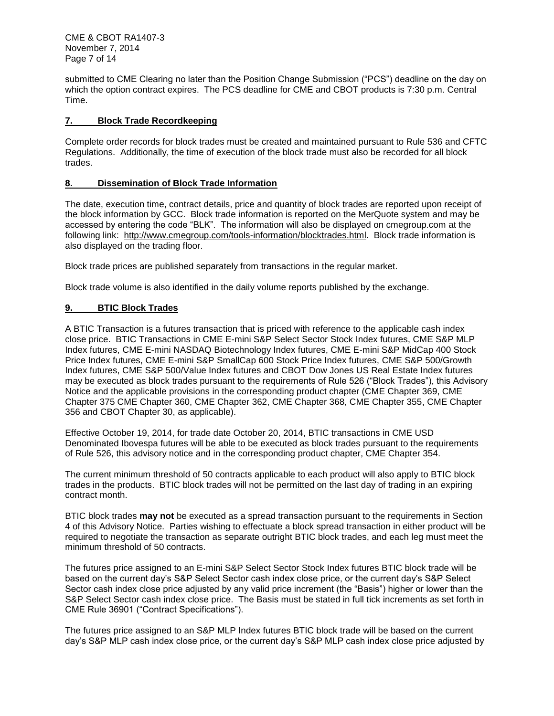CME & CBOT RA1407-3 November 7, 2014 Page 7 of 14

submitted to CME Clearing no later than the Position Change Submission ("PCS") deadline on the day on which the option contract expires. The PCS deadline for CME and CBOT products is 7:30 p.m. Central Time.

### **7. Block Trade Recordkeeping**

Complete order records for block trades must be created and maintained pursuant to Rule 536 and CFTC Regulations. Additionally, the time of execution of the block trade must also be recorded for all block trades.

### **8. Dissemination of Block Trade Information**

The date, execution time, contract details, price and quantity of block trades are reported upon receipt of the block information by GCC. Block trade information is reported on the MerQuote system and may be accessed by entering the code "BLK". The information will also be displayed on cmegroup.com at the following link: [http://www.cmegroup.com/tools-information/blocktrades.html.](http://www.cmegroup.com/tools-information/blocktrades.html) Block trade information is also displayed on the trading floor.

Block trade prices are published separately from transactions in the regular market.

Block trade volume is also identified in the daily volume reports published by the exchange.

### **9. BTIC Block Trades**

A BTIC Transaction is a futures transaction that is priced with reference to the applicable cash index close price. BTIC Transactions in CME E-mini S&P Select Sector Stock Index futures, CME S&P MLP Index futures, CME E-mini NASDAQ Biotechnology Index futures, CME E-mini S&P MidCap 400 Stock Price Index futures, CME E-mini S&P SmallCap 600 Stock Price Index futures, CME S&P 500/Growth Index futures, CME S&P 500/Value Index futures and CBOT Dow Jones US Real Estate Index futures may be executed as block trades pursuant to the requirements of Rule 526 ("Block Trades"), this Advisory Notice and the applicable provisions in the corresponding product chapter (CME Chapter 369, CME Chapter 375 CME Chapter 360, CME Chapter 362, CME Chapter 368, CME Chapter 355, CME Chapter 356 and CBOT Chapter 30, as applicable).

Effective October 19, 2014, for trade date October 20, 2014, BTIC transactions in CME USD Denominated Ibovespa futures will be able to be executed as block trades pursuant to the requirements of Rule 526, this advisory notice and in the corresponding product chapter, CME Chapter 354.

The current minimum threshold of 50 contracts applicable to each product will also apply to BTIC block trades in the products. BTIC block trades will not be permitted on the last day of trading in an expiring contract month.

BTIC block trades **may not** be executed as a spread transaction pursuant to the requirements in Section 4 of this Advisory Notice. Parties wishing to effectuate a block spread transaction in either product will be required to negotiate the transaction as separate outright BTIC block trades, and each leg must meet the minimum threshold of 50 contracts.

The futures price assigned to an E-mini S&P Select Sector Stock Index futures BTIC block trade will be based on the current day's S&P Select Sector cash index close price, or the current day's S&P Select Sector cash index close price adjusted by any valid price increment (the "Basis") higher or lower than the S&P Select Sector cash index close price. The Basis must be stated in full tick increments as set forth in CME Rule 36901 ("Contract Specifications").

The futures price assigned to an S&P MLP Index futures BTIC block trade will be based on the current day's S&P MLP cash index close price, or the current day's S&P MLP cash index close price adjusted by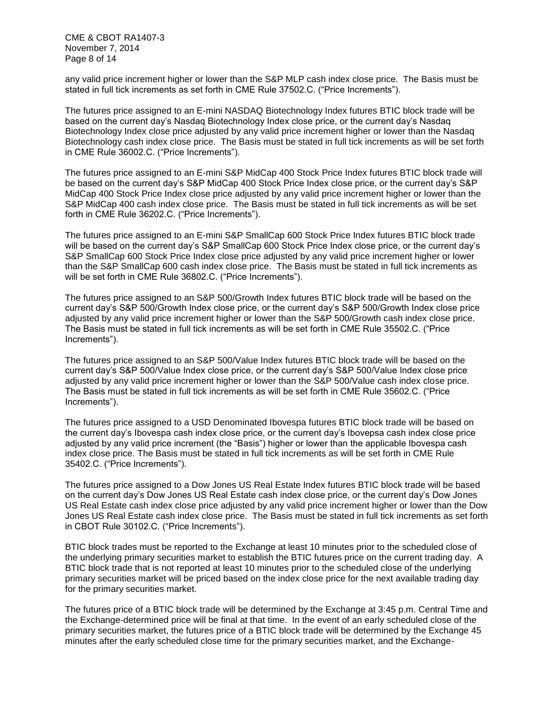CME & CBOT RA1407-3 November 7, 2014 Page 8 of 14

any valid price increment higher or lower than the S&P MLP cash index close price. The Basis must be stated in full tick increments as set forth in CME Rule 37502.C. ("Price Increments").

The futures price assigned to an E-mini NASDAQ Biotechnology Index futures BTIC block trade will be based on the current day's Nasdaq Biotechnology Index close price, or the current day's Nasdaq Biotechnology Index close price adjusted by any valid price increment higher or lower than the Nasdaq Biotechnology cash index close price. The Basis must be stated in full tick increments as will be set forth in CME Rule 36002.C. ("Price Increments").

The futures price assigned to an E-mini S&P MidCap 400 Stock Price Index futures BTIC block trade will be based on the current day's S&P MidCap 400 Stock Price Index close price, or the current day's S&P MidCap 400 Stock Price Index close price adjusted by any valid price increment higher or lower than the S&P MidCap 400 cash index close price. The Basis must be stated in full tick increments as will be set forth in CME Rule 36202.C. ("Price Increments").

The futures price assigned to an E-mini S&P SmallCap 600 Stock Price Index futures BTIC block trade will be based on the current day's S&P SmallCap 600 Stock Price Index close price, or the current day's S&P SmallCap 600 Stock Price Index close price adjusted by any valid price increment higher or lower than the S&P SmallCap 600 cash index close price. The Basis must be stated in full tick increments as will be set forth in CME Rule 36802.C. ("Price Increments").

The futures price assigned to an S&P 500/Growth Index futures BTIC block trade will be based on the current day's S&P 500/Growth Index close price, or the current day's S&P 500/Growth Index close price adjusted by any valid price increment higher or lower than the S&P 500/Growth cash index close price. The Basis must be stated in full tick increments as will be set forth in CME Rule 35502.C. ("Price Increments").

The futures price assigned to an S&P 500/Value Index futures BTIC block trade will be based on the current day's S&P 500/Value Index close price, or the current day's S&P 500/Value Index close price adjusted by any valid price increment higher or lower than the S&P 500/Value cash index close price. The Basis must be stated in full tick increments as will be set forth in CME Rule 35602.C. ("Price Increments").

The futures price assigned to a USD Denominated Ibovespa futures BTIC block trade will be based on the current day's Ibovespa cash index close price, or the current day's Ibovepsa cash index close price adjusted by any valid price increment (the "Basis") higher or lower than the applicable Ibovespa cash index close price. The Basis must be stated in full tick increments as will be set forth in CME Rule 35402.C. ("Price Increments").

The futures price assigned to a Dow Jones US Real Estate Index futures BTIC block trade will be based on the current day's Dow Jones US Real Estate cash index close price, or the current day's Dow Jones US Real Estate cash index close price adjusted by any valid price increment higher or lower than the Dow Jones US Real Estate cash index close price. The Basis must be stated in full tick increments as set forth in CBOT Rule 30102.C. ("Price Increments").

BTIC block trades must be reported to the Exchange at least 10 minutes prior to the scheduled close of the underlying primary securities market to establish the BTIC futures price on the current trading day. A BTIC block trade that is not reported at least 10 minutes prior to the scheduled close of the underlying primary securities market will be priced based on the index close price for the next available trading day for the primary securities market.

The futures price of a BTIC block trade will be determined by the Exchange at 3:45 p.m. Central Time and the Exchange-determined price will be final at that time. In the event of an early scheduled close of the primary securities market, the futures price of a BTIC block trade will be determined by the Exchange 45 minutes after the early scheduled close time for the primary securities market, and the Exchange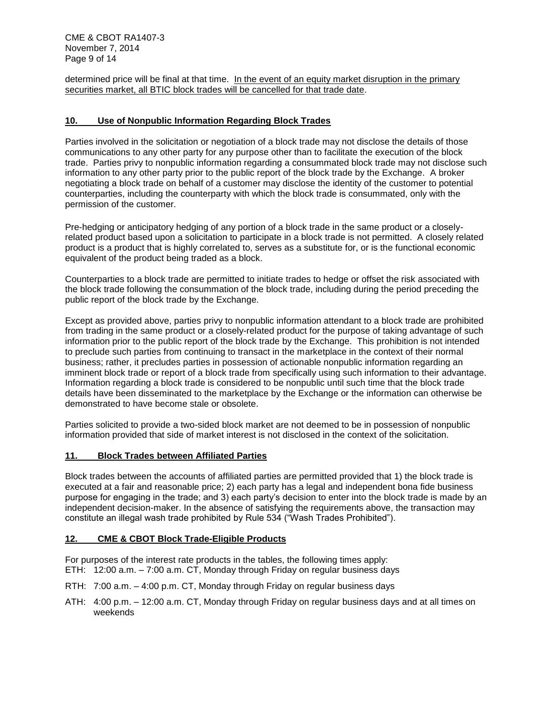CME & CBOT RA1407-3 November 7, 2014 Page 9 of 14

determined price will be final at that time. In the event of an equity market disruption in the primary securities market, all BTIC block trades will be cancelled for that trade date.

### **10. Use of Nonpublic Information Regarding Block Trades**

Parties involved in the solicitation or negotiation of a block trade may not disclose the details of those communications to any other party for any purpose other than to facilitate the execution of the block trade. Parties privy to nonpublic information regarding a consummated block trade may not disclose such information to any other party prior to the public report of the block trade by the Exchange. A broker negotiating a block trade on behalf of a customer may disclose the identity of the customer to potential counterparties, including the counterparty with which the block trade is consummated, only with the permission of the customer.

Pre-hedging or anticipatory hedging of any portion of a block trade in the same product or a closelyrelated product based upon a solicitation to participate in a block trade is not permitted. A closely related product is a product that is highly correlated to, serves as a substitute for, or is the functional economic equivalent of the product being traded as a block.

Counterparties to a block trade are permitted to initiate trades to hedge or offset the risk associated with the block trade following the consummation of the block trade, including during the period preceding the public report of the block trade by the Exchange.

Except as provided above, parties privy to nonpublic information attendant to a block trade are prohibited from trading in the same product or a closely-related product for the purpose of taking advantage of such information prior to the public report of the block trade by the Exchange. This prohibition is not intended to preclude such parties from continuing to transact in the marketplace in the context of their normal business; rather, it precludes parties in possession of actionable nonpublic information regarding an imminent block trade or report of a block trade from specifically using such information to their advantage. Information regarding a block trade is considered to be nonpublic until such time that the block trade details have been disseminated to the marketplace by the Exchange or the information can otherwise be demonstrated to have become stale or obsolete.

Parties solicited to provide a two-sided block market are not deemed to be in possession of nonpublic information provided that side of market interest is not disclosed in the context of the solicitation.

#### **11. Block Trades between Affiliated Parties**

Block trades between the accounts of affiliated parties are permitted provided that 1) the block trade is executed at a fair and reasonable price; 2) each party has a legal and independent bona fide business purpose for engaging in the trade; and 3) each party's decision to enter into the block trade is made by an independent decision-maker. In the absence of satisfying the requirements above, the transaction may constitute an illegal wash trade prohibited by Rule 534 ("Wash Trades Prohibited").

#### **12. CME & CBOT Block Trade-Eligible Products**

For purposes of the interest rate products in the tables, the following times apply: ETH: 12:00 a.m. – 7:00 a.m. CT, Monday through Friday on regular business days

- RTH: 7:00 a.m. 4:00 p.m. CT, Monday through Friday on regular business days
- ATH: 4:00 p.m. 12:00 a.m. CT, Monday through Friday on regular business days and at all times on weekends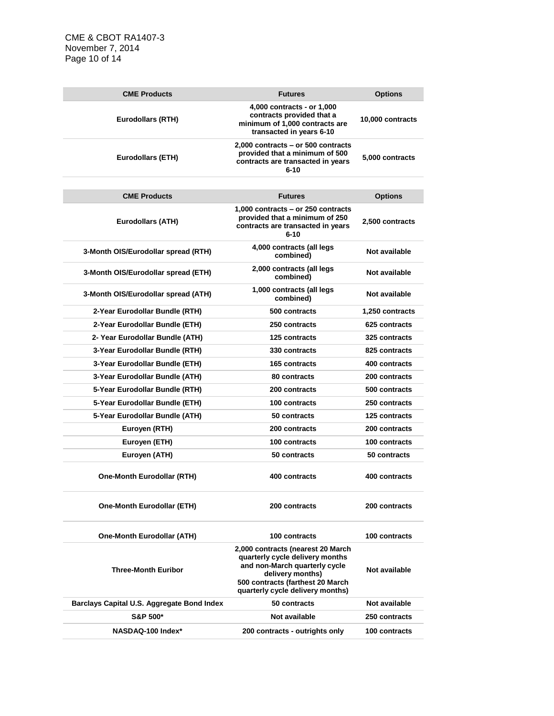CME & CBOT RA1407-3 November 7, 2014 Page 10 of 14

| <b>CME Products</b>                        | <b>Futures</b>                                                                                                                                                                                    | <b>Options</b>       |
|--------------------------------------------|---------------------------------------------------------------------------------------------------------------------------------------------------------------------------------------------------|----------------------|
| <b>Eurodollars (RTH)</b>                   | 4,000 contracts - or 1,000<br>contracts provided that a<br>minimum of 1,000 contracts are<br>transacted in years 6-10                                                                             | 10,000 contracts     |
| <b>Eurodollars (ETH)</b>                   | 2,000 contracts - or 500 contracts<br>provided that a minimum of 500<br>contracts are transacted in years<br>$6 - 10$                                                                             | 5,000 contracts      |
|                                            |                                                                                                                                                                                                   |                      |
| <b>CME Products</b>                        | <b>Futures</b>                                                                                                                                                                                    | <b>Options</b>       |
| <b>Eurodollars (ATH)</b>                   | 1.000 contracts - or 250 contracts<br>provided that a minimum of 250<br>contracts are transacted in years<br>$6 - 10$                                                                             | 2,500 contracts      |
| 3-Month OIS/Eurodollar spread (RTH)        | 4,000 contracts (all legs<br>combined)                                                                                                                                                            | Not available        |
| 3-Month OIS/Eurodollar spread (ETH)        | 2,000 contracts (all legs<br>combined)                                                                                                                                                            | Not available        |
| 3-Month OIS/Eurodollar spread (ATH)        | 1,000 contracts (all legs<br>combined)                                                                                                                                                            | Not available        |
| 2-Year Eurodollar Bundle (RTH)             | 500 contracts                                                                                                                                                                                     | 1,250 contracts      |
| 2-Year Eurodollar Bundle (ETH)             | 250 contracts                                                                                                                                                                                     | 625 contracts        |
| 2- Year Eurodollar Bundle (ATH)            | <b>125 contracts</b>                                                                                                                                                                              | 325 contracts        |
| 3-Year Eurodollar Bundle (RTH)             | 330 contracts                                                                                                                                                                                     | 825 contracts        |
| 3-Year Eurodollar Bundle (ETH)             | <b>165 contracts</b>                                                                                                                                                                              | 400 contracts        |
| 3-Year Eurodollar Bundle (ATH)             | 80 contracts                                                                                                                                                                                      | 200 contracts        |
| 5-Year Eurodollar Bundle (RTH)             | 200 contracts                                                                                                                                                                                     | 500 contracts        |
| 5-Year Eurodollar Bundle (ETH)             | 100 contracts                                                                                                                                                                                     | 250 contracts        |
| 5-Year Eurodollar Bundle (ATH)             | 50 contracts                                                                                                                                                                                      | <b>125 contracts</b> |
| Euroyen (RTH)                              | 200 contracts                                                                                                                                                                                     | 200 contracts        |
| Euroyen (ETH)                              | 100 contracts                                                                                                                                                                                     | 100 contracts        |
| Euroyen (ATH)                              | 50 contracts                                                                                                                                                                                      | 50 contracts         |
| <b>One-Month Eurodollar (RTH)</b>          | 400 contracts                                                                                                                                                                                     | 400 contracts        |
| <b>One-Month Eurodollar (ETH)</b>          | 200 contracts                                                                                                                                                                                     | 200 contracts        |
| <b>One-Month Eurodollar (ATH)</b>          | 100 contracts                                                                                                                                                                                     | 100 contracts        |
| <b>Three-Month Euribor</b>                 | 2,000 contracts (nearest 20 March<br>quarterly cycle delivery months<br>and non-March quarterly cycle<br>delivery months)<br>500 contracts (farthest 20 March<br>quarterly cycle delivery months) | Not available        |
| Barclays Capital U.S. Aggregate Bond Index | 50 contracts                                                                                                                                                                                      | Not available        |
| S&P 500*                                   | Not available                                                                                                                                                                                     | 250 contracts        |
| NASDAQ-100 Index*                          | 200 contracts - outrights only                                                                                                                                                                    | 100 contracts        |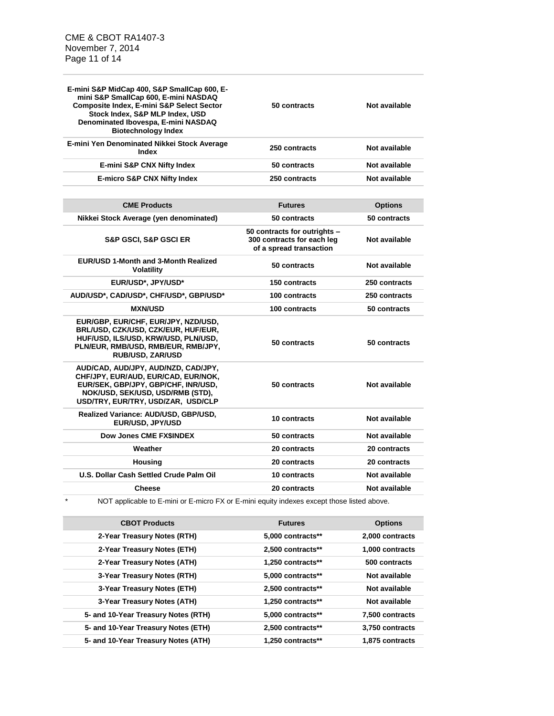| E-mini S&P MidCap 400, S&P SmallCap 600, E-<br>mini S&P SmallCap 600, E-mini NASDAQ<br>Composite Index, E-mini S&P Select Sector<br>Stock Index, S&P MLP Index, USD<br>Denominated Ibovespa, E-mini NASDAQ<br><b>Biotechnology Index</b> | 50 contracts                                                                          | Not available  |
|------------------------------------------------------------------------------------------------------------------------------------------------------------------------------------------------------------------------------------------|---------------------------------------------------------------------------------------|----------------|
| E-mini Yen Denominated Nikkei Stock Average<br>Index                                                                                                                                                                                     | 250 contracts                                                                         | Not available  |
| E-mini S&P CNX Nifty Index                                                                                                                                                                                                               | 50 contracts                                                                          | Not available  |
| <b>E-micro S&amp;P CNX Nifty Index</b>                                                                                                                                                                                                   | 250 contracts                                                                         | Not available  |
|                                                                                                                                                                                                                                          |                                                                                       |                |
| <b>CME Products</b>                                                                                                                                                                                                                      | <b>Futures</b>                                                                        | <b>Options</b> |
| Nikkei Stock Average (yen denominated)                                                                                                                                                                                                   | 50 contracts                                                                          | 50 contracts   |
| <b>S&amp;P GSCI, S&amp;P GSCI ER</b>                                                                                                                                                                                                     | 50 contracts for outrights -<br>300 contracts for each leg<br>of a spread transaction | Not available  |
| <b>EUR/USD 1-Month and 3-Month Realized</b><br><b>Volatility</b>                                                                                                                                                                         | 50 contracts                                                                          | Not available  |
| EUR/USD*, JPY/USD*                                                                                                                                                                                                                       | 150 contracts                                                                         | 250 contracts  |
| AUD/USD*, CAD/USD*, CHF/USD*, GBP/USD*                                                                                                                                                                                                   | 100 contracts                                                                         | 250 contracts  |
| <b>MXN/USD</b>                                                                                                                                                                                                                           | 100 contracts                                                                         | 50 contracts   |
| EUR/GBP, EUR/CHF, EUR/JPY, NZD/USD,<br>BRL/USD, CZK/USD, CZK/EUR, HUF/EUR,<br>HUF/USD, ILS/USD, KRW/USD, PLN/USD,<br>PLN/EUR, RMB/USD, RMB/EUR, RMB/JPY,<br><b>RUB/USD, ZAR/USD</b>                                                      | 50 contracts                                                                          | 50 contracts   |
| AUD/CAD, AUD/JPY, AUD/NZD, CAD/JPY,<br>CHF/JPY, EUR/AUD, EUR/CAD, EUR/NOK,<br>EUR/SEK, GBP/JPY, GBP/CHF, INR/USD,<br>NOK/USD, SEK/USD, USD/RMB (STD),<br>USD/TRY, EUR/TRY, USD/ZAR, USD/CLP                                              | 50 contracts                                                                          | Not available  |
| Realized Variance: AUD/USD, GBP/USD,<br>EUR/USD, JPY/USD                                                                                                                                                                                 | 10 contracts                                                                          | Not available  |
| Dow Jones CME FX\$INDEX                                                                                                                                                                                                                  | 50 contracts                                                                          | Not available  |
| Weather                                                                                                                                                                                                                                  | 20 contracts                                                                          | 20 contracts   |
| <b>Housing</b>                                                                                                                                                                                                                           | 20 contracts                                                                          | 20 contracts   |
| U.S. Dollar Cash Settled Crude Palm Oil                                                                                                                                                                                                  | 10 contracts                                                                          | Not available  |
| <b>Cheese</b>                                                                                                                                                                                                                            | 20 contracts                                                                          | Not available  |
| $\star$<br>NOT applicable to E-mini or E-micro FX or E-mini equity indexes except those listed above.                                                                                                                                    |                                                                                       |                |

**CBOT Products Futures Options 2-Year Treasury Notes (RTH) 5,000 contracts\*\* 2,000 contracts 2-Year Treasury Notes (ETH) 2,500 contracts\*\* 1,000 contracts 2-Year Treasury Notes (ATH) 1,250 contracts\*\* 500 contracts 3-Year Treasury Notes (RTH) 5,000 contracts\*\* Not available 3-Year Treasury Notes (ETH) 2,500 contracts\*\* Not available 3-Year Treasury Notes (ATH) 1,250 contracts\*\* Not available 5- and 10-Year Treasury Notes (RTH) 5,000 contracts\*\* 7,500 contracts 5- and 10-Year Treasury Notes (ETH) 2,500 contracts\*\* 3,750 contracts 5- and 10-Year Treasury Notes (ATH) 1,250 contracts\*\* 1,875 contracts**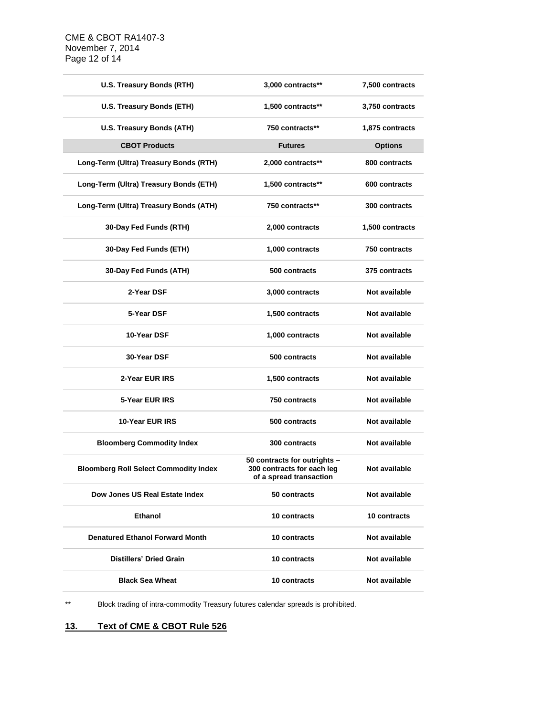| U.S. Treasury Bonds (RTH)                    | 3,000 contracts**                                                                     | 7,500 contracts |
|----------------------------------------------|---------------------------------------------------------------------------------------|-----------------|
| U.S. Treasury Bonds (ETH)                    | 1,500 contracts**                                                                     | 3,750 contracts |
| U.S. Treasury Bonds (ATH)                    | 750 contracts**                                                                       | 1,875 contracts |
| <b>CBOT Products</b>                         | <b>Futures</b>                                                                        | <b>Options</b>  |
| Long-Term (Ultra) Treasury Bonds (RTH)       | 2,000 contracts**                                                                     | 800 contracts   |
| Long-Term (Ultra) Treasury Bonds (ETH)       | 1,500 contracts**                                                                     | 600 contracts   |
| Long-Term (Ultra) Treasury Bonds (ATH)       | 750 contracts**                                                                       | 300 contracts   |
| 30-Day Fed Funds (RTH)                       | 2,000 contracts                                                                       | 1,500 contracts |
| 30-Day Fed Funds (ETH)                       | 1,000 contracts                                                                       | 750 contracts   |
| 30-Day Fed Funds (ATH)                       | 500 contracts                                                                         | 375 contracts   |
| 2-Year DSF                                   | 3,000 contracts                                                                       | Not available   |
| 5-Year DSF                                   | 1,500 contracts                                                                       | Not available   |
| 10-Year DSF                                  | 1,000 contracts                                                                       | Not available   |
| 30-Year DSF                                  | 500 contracts                                                                         | Not available   |
| 2-Year EUR IRS                               | 1,500 contracts                                                                       | Not available   |
| 5-Year EUR IRS                               | 750 contracts                                                                         | Not available   |
| 10-Year EUR IRS                              | 500 contracts                                                                         | Not available   |
| <b>Bloomberg Commodity Index</b>             | 300 contracts                                                                         | Not available   |
| <b>Bloomberg Roll Select Commodity Index</b> | 50 contracts for outrights -<br>300 contracts for each leg<br>of a spread transaction | Not available   |
| Dow Jones US Real Estate Index               | 50 contracts                                                                          | Not available   |
| <b>Ethanol</b>                               | 10 contracts                                                                          | 10 contracts    |
| <b>Denatured Ethanol Forward Month</b>       | 10 contracts                                                                          | Not available   |
| <b>Distillers' Dried Grain</b>               | 10 contracts                                                                          | Not available   |
| <b>Black Sea Wheat</b>                       | 10 contracts                                                                          | Not available   |

\*\* Block trading of intra-commodity Treasury futures calendar spreads is prohibited.

# **13. Text of CME & CBOT Rule 526**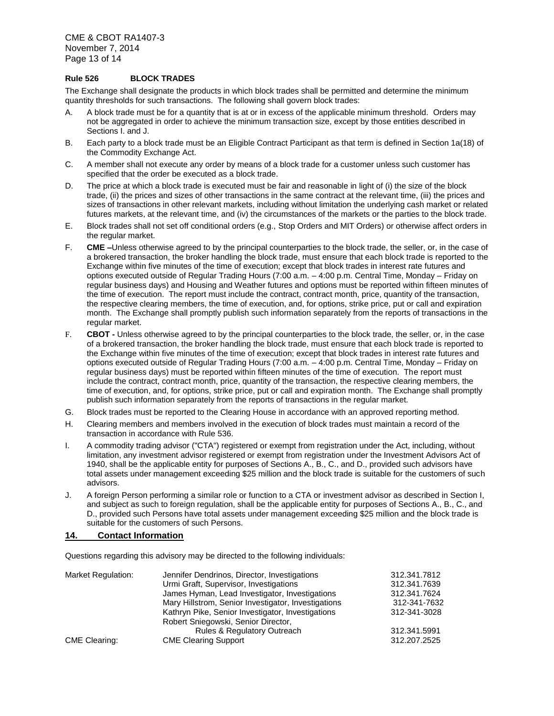CME & CBOT RA1407-3 November 7, 2014 Page 13 of 14

#### **Rule 526 BLOCK TRADES**

The Exchange shall designate the products in which block trades shall be permitted and determine the minimum quantity thresholds for such transactions. The following shall govern block trades:

- A. A block trade must be for a quantity that is at or in excess of the applicable minimum threshold. Orders may not be aggregated in order to achieve the minimum transaction size, except by those entities described in Sections I. and J.
- B. Each party to a block trade must be an Eligible Contract Participant as that term is defined in Section 1a(18) of the Commodity Exchange Act.
- C. A member shall not execute any order by means of a block trade for a customer unless such customer has specified that the order be executed as a block trade.
- D. The price at which a block trade is executed must be fair and reasonable in light of (i) the size of the block trade, (ii) the prices and sizes of other transactions in the same contract at the relevant time, (iii) the prices and sizes of transactions in other relevant markets, including without limitation the underlying cash market or related futures markets, at the relevant time, and (iv) the circumstances of the markets or the parties to the block trade.
- E. Block trades shall not set off conditional orders (e.g., Stop Orders and MIT Orders) or otherwise affect orders in the regular market.
- F. **CME –**Unless otherwise agreed to by the principal counterparties to the block trade, the seller, or, in the case of a brokered transaction, the broker handling the block trade, must ensure that each block trade is reported to the Exchange within five minutes of the time of execution; except that block trades in interest rate futures and options executed outside of Regular Trading Hours (7:00 a.m. – 4:00 p.m. Central Time, Monday – Friday on regular business days) and Housing and Weather futures and options must be reported within fifteen minutes of the time of execution. The report must include the contract, contract month, price, quantity of the transaction, the respective clearing members, the time of execution, and, for options, strike price, put or call and expiration month. The Exchange shall promptly publish such information separately from the reports of transactions in the regular market.
- F. **CBOT -** Unless otherwise agreed to by the principal counterparties to the block trade, the seller, or, in the case of a brokered transaction, the broker handling the block trade, must ensure that each block trade is reported to the Exchange within five minutes of the time of execution; except that block trades in interest rate futures and options executed outside of Regular Trading Hours (7:00 a.m. – 4:00 p.m. Central Time, Monday – Friday on regular business days) must be reported within fifteen minutes of the time of execution. The report must include the contract, contract month, price, quantity of the transaction, the respective clearing members, the time of execution, and, for options, strike price, put or call and expiration month. The Exchange shall promptly publish such information separately from the reports of transactions in the regular market.
- G. Block trades must be reported to the Clearing House in accordance with an approved reporting method.
- H. Clearing members and members involved in the execution of block trades must maintain a record of the transaction in accordance with Rule 536.
- I. A commodity trading advisor ("CTA") registered or exempt from registration under the Act, including, without limitation, any investment advisor registered or exempt from registration under the Investment Advisors Act of 1940, shall be the applicable entity for purposes of Sections A., B., C., and D., provided such advisors have total assets under management exceeding \$25 million and the block trade is suitable for the customers of such advisors.
- J. A foreign Person performing a similar role or function to a CTA or investment advisor as described in Section I, and subject as such to foreign regulation, shall be the applicable entity for purposes of Sections A., B., C., and D., provided such Persons have total assets under management exceeding \$25 million and the block trade is suitable for the customers of such Persons.

#### **14. Contact Information**

Questions regarding this advisory may be directed to the following individuals:

| Market Regulation:   | Jennifer Dendrinos, Director, Investigations        | 312.341.7812 |
|----------------------|-----------------------------------------------------|--------------|
|                      | Urmi Graft, Supervisor, Investigations              | 312.341.7639 |
|                      | James Hyman, Lead Investigator, Investigations      | 312.341.7624 |
|                      | Mary Hillstrom, Senior Investigator, Investigations | 312-341-7632 |
|                      | Kathryn Pike, Senior Investigator, Investigations   | 312-341-3028 |
|                      | Robert Sniegowski, Senior Director,                 |              |
|                      | <b>Rules &amp; Regulatory Outreach</b>              | 312.341.5991 |
| <b>CME Clearing:</b> | <b>CME Clearing Support</b>                         | 312.207.2525 |